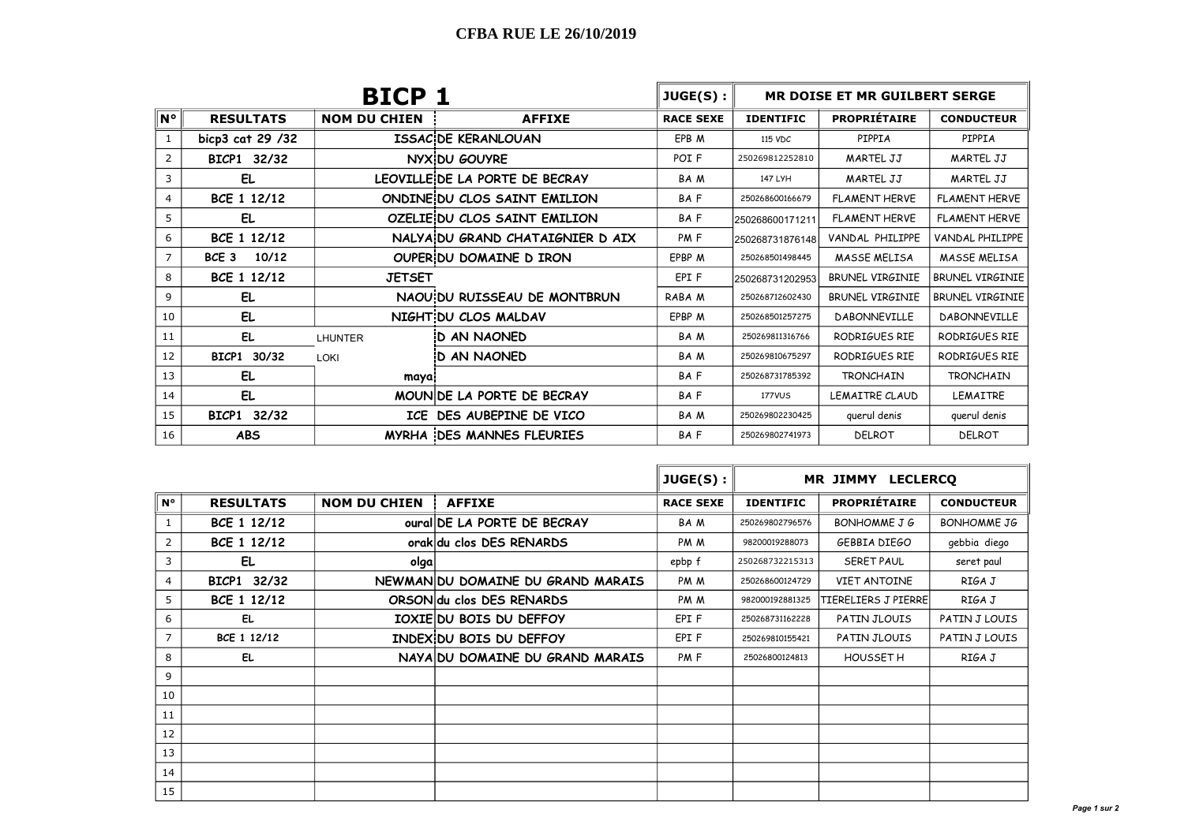| <b>BICP 1</b> |                           |                     |                                  | $JUGE(S)$ :      | MR DOISE ET MR GUILBERT SERGE           |                        |                        |  |
|---------------|---------------------------|---------------------|----------------------------------|------------------|-----------------------------------------|------------------------|------------------------|--|
| ∥N°           | <b>RESULTATS</b>          | <b>NOM DU CHIEN</b> | <b>AFFIXE</b>                    | <b>RACE SEXE</b> | <b>PROPRIÉTAIRE</b><br><b>IDENTIFIC</b> |                        | <b>CONDUCTEUR</b>      |  |
| 1             | bicp3 cat 29 /32          |                     | <b>ISSAC DE KERANLOUAN</b>       | EPB M            | 115 VDC                                 | PIPPIA                 | PIPPIA                 |  |
| 2             | BICP1 32/32               |                     | NYX DU GOUYRE                    | POI <sub>F</sub> | 250269812252810                         | <b>MARTEL JJ</b>       | <b>MARTEL JJ</b>       |  |
| 3             | EL.                       |                     | LEOVILLE DE LA PORTE DE BECRAY   | <b>BAM</b>       | 147 LYH                                 | MARTEL JJ              | <b>MARTEL JJ</b>       |  |
| 4             | BCE 1 12/12               |                     | ONDINE DU CLOS SAINT EMILION     | <b>BAF</b>       | 250268600166679                         | <b>FLAMENT HERVE</b>   |                        |  |
| 5             | EL                        |                     | OZELIE DU CLOS SAINT EMILION     | <b>BAF</b>       | <b>FLAMENT HERVE</b><br>250268600171211 |                        | FLAMENT HERVE          |  |
| 6             | BCE 1 12/12               |                     | NALYA DU GRAND CHATAIGNIER D AIX | PM <sub>F</sub>  | 250268731876148                         | VANDAL PHILIPPE        | VANDAL PHILIPPE        |  |
| 7             | 10/12<br>BCE <sub>3</sub> |                     | OUPER DU DOMAINE D IRON          | EPBP M           | 250268501498445                         | <b>MASSE MELISA</b>    | <b>MASSE MELISA</b>    |  |
| 8             | BCE 1 12/12               | <b>JETSET</b>       |                                  | EPI F            | 250268731202953                         | <b>BRUNEL VIRGINIE</b> | <b>BRUNEL VIRGINIE</b> |  |
| 9             | EL                        |                     | NAOU DU RUISSEAU DE MONTBRUN     | RABA M           | 250268712602430                         | <b>BRUNEL VIRGINIE</b> | <b>BRUNEL VIRGINIE</b> |  |
| 10            | EL.                       |                     | NIGHT DU CLOS MALDAV             | EPBP M           | 250268501257275                         | <b>DABONNEVILLE</b>    | DABONNEVILLE           |  |
| 11            | EL                        | <b>LHUNTER</b>      | <b>D AN NAONED</b>               | <b>BAM</b>       | 250269811316766                         | RODRIGUES RIE          | RODRIGUES RIE          |  |
| 12            | BICP1 30/32               | LOKI                | <b>D AN NAONED</b>               | <b>BAM</b>       | 250269810675297                         | RODRIGUES RIE          | RODRIGUES RIE          |  |
| 13            | EL.                       | maya                |                                  | <b>BAF</b>       | 250268731785392                         | <b>TRONCHAIN</b>       | <b>TRONCHAIN</b>       |  |
| 14            | EL.                       |                     | MOUNIDE LA PORTE DE BECRAY       | <b>BAF</b>       | <b>177VUS</b>                           | LEMAITRE CLAUD         | <b>LEMAITRE</b>        |  |
| 15            | BICP1 32/32               |                     | ICE DES AUBEPINE DE VICO         | <b>BAM</b>       | 250269802230425                         | querul denis           | querul denis           |  |
| 16            | <b>ABS</b>                |                     | <b>MYRHA DES MANNES FLEURIES</b> | <b>BAF</b>       | 250269802741973                         | <b>DELROT</b>          | DELROT                 |  |

|                |                  |                     |                                   | JUGE(S):         | MR JIMMY LECLERCO |                              |                    |
|----------------|------------------|---------------------|-----------------------------------|------------------|-------------------|------------------------------|--------------------|
| $N^{\circ}$    | <b>RESULTATS</b> | <b>NOM DU CHIEN</b> | <b>AFFIXE</b>                     | <b>RACE SEXE</b> | <b>IDENTIFIC</b>  | <b>PROPRIÉTAIRE</b>          | <b>CONDUCTEUR</b>  |
| $\mathbf{1}$   | BCE 1 12/12      |                     | oural DE LA PORTE DE BECRAY       | BA M             | 250269802796576   | BONHOMME J G                 | <b>BONHOMME JG</b> |
| 2              | BCE 1 12/12      |                     | orak du clos DES RENARDS          | PM M             | 98200019288073    | gebbia diego<br>GEBBIA DIEGO |                    |
| 3              | EL               | olga                |                                   | epbp f           | 250268732215313   | SERET PAUL<br>seret paul     |                    |
| 4              | BICP1 32/32      |                     | NEWMANIDU DOMAINE DU GRAND MARAIS | PM M             | 250268600124729   | <b>VIET ANTOINE</b>          |                    |
| 5              | BCE 1 12/12      |                     | ORSON du clos DES RENARDS         | PM M             | 982000192881325   | TIERELIERS J PIERRE          | RIGA J             |
| 6              | EL               |                     | IOXIE DU BOIS DU DEFFOY           | EPI F            | 250268731162228   | PATIN JLOUIS                 |                    |
| $\overline{7}$ | BCE 1 12/12      |                     | INDEX DU BOIS DU DEFFOY           | EPI F            | 250269810155421   | PATIN JLOUIS                 |                    |
| 8              | EL               |                     | NAYA DU DOMAINE DU GRAND MARAIS   | PM <sub>F</sub>  | 25026800124813    | HOUSSET H                    | RIGA J             |
| 9              |                  |                     |                                   |                  |                   |                              |                    |
| 10             |                  |                     |                                   |                  |                   |                              |                    |
| 11             |                  |                     |                                   |                  |                   |                              |                    |
| 12             |                  |                     |                                   |                  |                   |                              |                    |
| 13             |                  |                     |                                   |                  |                   |                              |                    |
| 14             |                  |                     |                                   |                  |                   |                              |                    |
| 15             |                  |                     |                                   |                  |                   |                              |                    |

 $\sim$